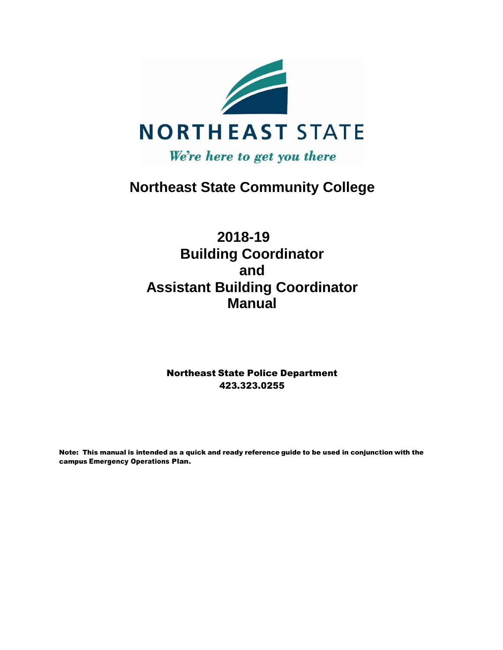

# **Northeast State Community College**

# **2018-19 Building Coordinator and Assistant Building Coordinator Manual**

Northeast State Police Department 423.323.0255

Note: This manual is intended as a quick and ready reference guide to be used in conjunction with the campus Emergency Operations Plan.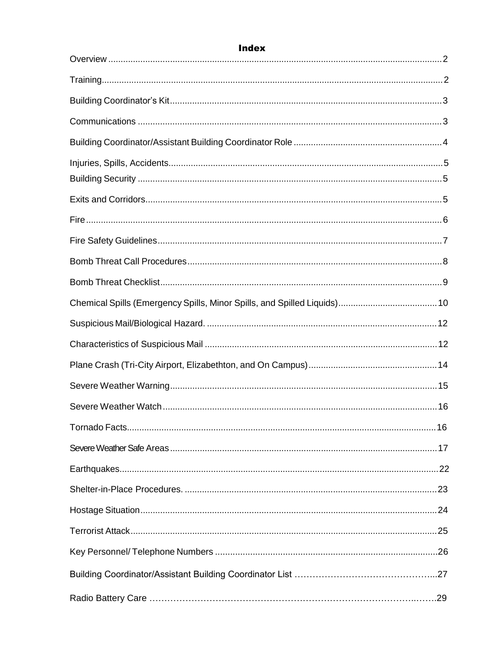| <b>Index</b> |  |
|--------------|--|
|              |  |
|              |  |
|              |  |
|              |  |
|              |  |
|              |  |
|              |  |
|              |  |
|              |  |
|              |  |
|              |  |
|              |  |
|              |  |
|              |  |
|              |  |
|              |  |
|              |  |
|              |  |
|              |  |
|              |  |
|              |  |
|              |  |
|              |  |
|              |  |
|              |  |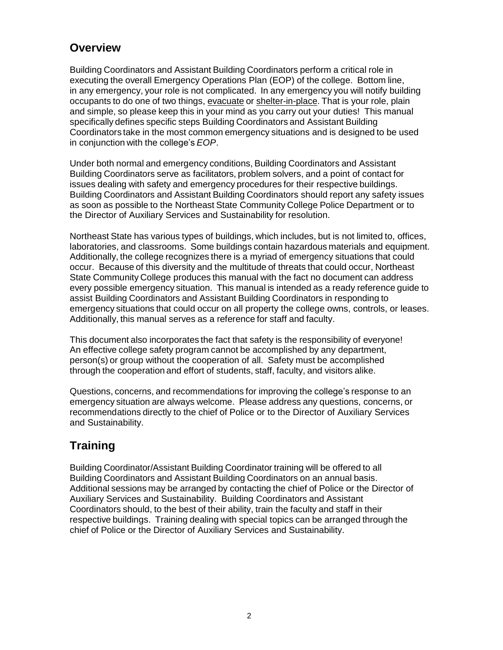### **Overview**

Building Coordinators and Assistant Building Coordinators perform a critical role in executing the overall Emergency Operations Plan (EOP) of the college. Bottom line, in any emergency, your role is not complicated. In any emergency you will notify building occupants to do one of two things, evacuate or shelter-in-place. That is your role, plain and simple, so please keep this in your mind as you carry out your duties! This manual specifically defines specific steps Building Coordinators and Assistant Building Coordinators take in the most common emergency situations and is designed to be used in conjunction with the college's *EOP*.

Under both normal and emergency conditions, Building Coordinators and Assistant Building Coordinators serve as facilitators, problem solvers, and a point of contact for issues dealing with safety and emergency procedures for their respective buildings. Building Coordinators and Assistant Building Coordinators should report any safety issues as soon as possible to the Northeast State Community College Police Department or to the Director of Auxiliary Services and Sustainability for resolution.

Northeast State has various types of buildings, which includes, but is not limited to, offices, laboratories, and classrooms. Some buildings contain hazardous materials and equipment. Additionally, the college recognizes there is a myriad of emergency situations that could occur. Because of this diversity and the multitude of threats that could occur, Northeast State Community College produces this manual with the fact no document can address every possible emergency situation. This manual is intended as a ready reference guide to assist Building Coordinators and Assistant Building Coordinators in responding to emergency situations that could occur on all property the college owns, controls, or leases. Additionally, this manual serves as a reference for staff and faculty.

This document also incorporates the fact that safety is the responsibility of everyone! An effective college safety program cannot be accomplished by any department, person(s) or group without the cooperation of all. Safety must be accomplished through the cooperation and effort of students, staff, faculty, and visitors alike.

Questions, concerns, and recommendations for improving the college's response to an emergency situation are always welcome. Please address any questions, concerns, or recommendations directly to the chief of Police or to the Director of Auxiliary Services and Sustainability.

## **Training**

Building Coordinator/Assistant Building Coordinator training will be offered to all Building Coordinators and Assistant Building Coordinators on an annual basis. Additional sessions may be arranged by contacting the chief of Police or the Director of Auxiliary Services and Sustainability. Building Coordinators and Assistant Coordinators should, to the best of their ability, train the faculty and staff in their respective buildings. Training dealing with special topics can be arranged through the chief of Police or the Director of Auxiliary Services and Sustainability.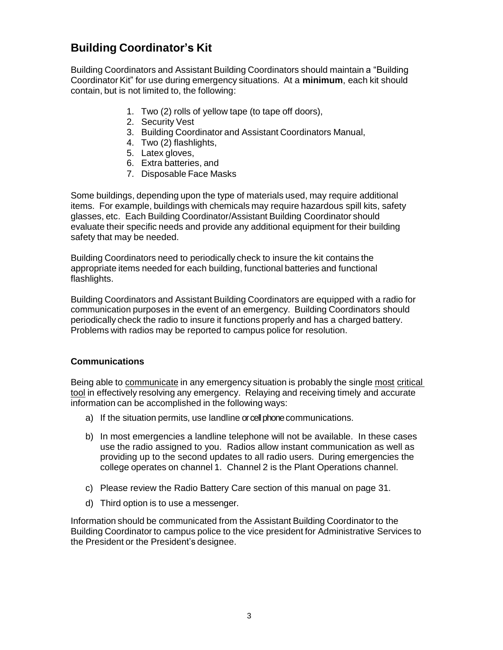## **Building Coordinator's Kit**

Building Coordinators and Assistant Building Coordinators should maintain a "Building Coordinator Kit" for use during emergency situations. At a **minimum**, each kit should contain, but is not limited to, the following:

- 1. Two (2) rolls of yellow tape (to tape off doors),
- 2. Security Vest
- 3. Building Coordinator and Assistant Coordinators Manual,
- 4. Two (2) flashlights,
- 5. Latex gloves,
- 6. Extra batteries, and
- 7. Disposable Face Masks

Some buildings, depending upon the type of materials used, may require additional items. For example, buildings with chemicals may require hazardous spill kits, safety glasses, etc. Each Building Coordinator/Assistant Building Coordinator should evaluate their specific needs and provide any additional equipment for their building safety that may be needed.

Building Coordinators need to periodically check to insure the kit contains the appropriate items needed for each building, functional batteries and functional flashlights.

Building Coordinators and Assistant Building Coordinators are equipped with a radio for communication purposes in the event of an emergency. Building Coordinators should periodically check the radio to insure it functions properly and has a charged battery. Problems with radios may be reported to campus police for resolution.

#### **Communications**

Being able to communicate in any emergency situation is probably the single most critical tool in effectively resolving any emergency. Relaying and receiving timely and accurate information can be accomplished in the following ways:

- a) If the situation permits, use landline or cell phone communications.
- b) In most emergencies a landline telephone will not be available. In these cases use the radio assigned to you. Radios allow instant communication as well as providing up to the second updates to all radio users. During emergencies the college operates on channel 1. Channel 2 is the Plant Operations channel.
- c) Please review the Radio Battery Care section of this manual on page 31.
- d) Third option is to use a messenger.

Information should be communicated from the Assistant Building Coordinator to the Building Coordinator to campus police to the vice president for Administrative Services to the President or the President's designee.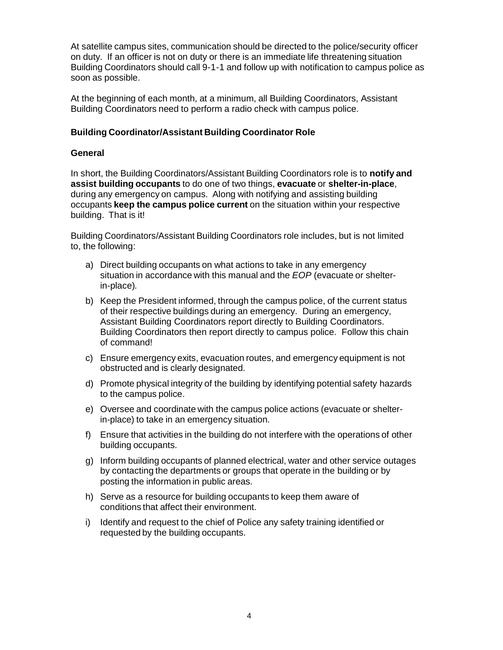At satellite campus sites, communication should be directed to the police/security officer on duty. If an officer is not on duty or there is an immediate life threatening situation Building Coordinators should call 9-1-1 and follow up with notification to campus police as soon as possible.

At the beginning of each month, at a minimum, all Building Coordinators, Assistant Building Coordinators need to perform a radio check with campus police.

#### **Building Coordinator/Assistant Building Coordinator Role**

#### **General**

In short, the Building Coordinators/Assistant Building Coordinators role is to **notify and assist building occupants** to do one of two things, **evacuate** or **shelter-in-place**, during any emergency on campus. Along with notifying and assisting building occupants **keep the campus police current** on the situation within your respective building. That is it!

Building Coordinators/Assistant Building Coordinators role includes, but is not limited to, the following:

- a) Direct building occupants on what actions to take in any emergency situation in accordance with this manual and the *EOP* (evacuate or shelterin-place)*.*
- b) Keep the President informed, through the campus police, of the current status of their respective buildings during an emergency. During an emergency, Assistant Building Coordinators report directly to Building Coordinators. Building Coordinators then report directly to campus police. Follow this chain of command!
- c) Ensure emergency exits, evacuation routes, and emergency equipment is not obstructed and is clearly designated.
- d) Promote physical integrity of the building by identifying potential safety hazards to the campus police.
- e) Oversee and coordinate with the campus police actions (evacuate or shelterin-place) to take in an emergency situation.
- f) Ensure that activities in the building do not interfere with the operations of other building occupants.
- g) Inform building occupants of planned electrical, water and other service outages by contacting the departments or groups that operate in the building or by posting the information in public areas.
- h) Serve as a resource for building occupants to keep them aware of conditions that affect their environment.
- i) Identify and request to the chief of Police any safety training identified or requested by the building occupants.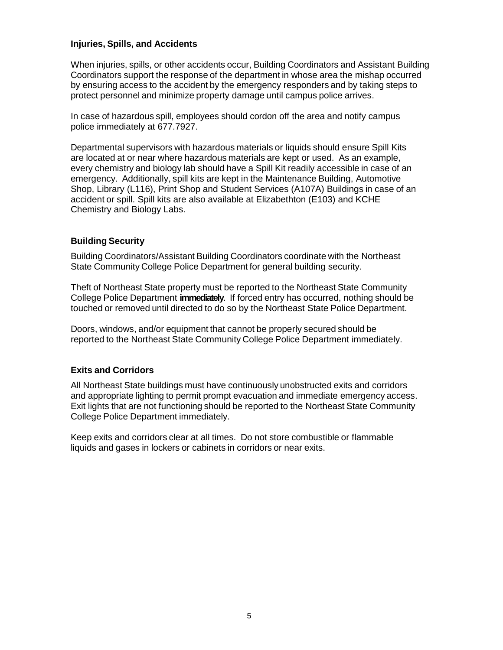#### **Injuries, Spills, and Accidents**

When injuries, spills, or other accidents occur, Building Coordinators and Assistant Building Coordinators support the response of the department in whose area the mishap occurred by ensuring access to the accident by the emergency responders and by taking steps to protect personnel and minimize property damage until campus police arrives.

In case of hazardous spill, employees should cordon off the area and notify campus police immediately at 677.7927.

Departmental supervisors with hazardous materials or liquids should ensure Spill Kits are located at or near where hazardous materials are kept or used. As an example, every chemistry and biology lab should have a Spill Kit readily accessible in case of an emergency. Additionally, spill kits are kept in the Maintenance Building, Automotive Shop, Library (L116), Print Shop and Student Services (A107A) Buildings in case of an accident or spill. Spill kits are also available at Elizabethton (E103) and KCHE Chemistry and Biology Labs.

#### **Building Security**

Building Coordinators/Assistant Building Coordinators coordinate with the Northeast State Community College Police Department for general building security.

Theft of Northeast State property must be reported to the Northeast State Community College Police Department **immediately**. If forced entry has occurred, nothing should be touched or removed until directed to do so by the Northeast State Police Department.

Doors, windows, and/or equipment that cannot be properly secured should be reported to the Northeast State Community College Police Department immediately.

#### **Exits and Corridors**

All Northeast State buildings must have continuously unobstructed exits and corridors and appropriate lighting to permit prompt evacuation and immediate emergency access. Exit lights that are not functioning should be reported to the Northeast State Community College Police Department immediately.

Keep exits and corridors clear at all times. Do not store combustible or flammable liquids and gases in lockers or cabinets in corridors or near exits.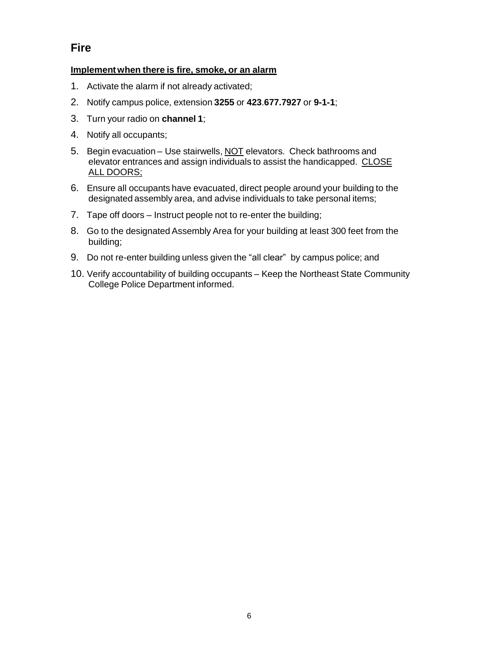### **Fire**

#### **Implement when there is fire, smoke, or an alarm**

- 1. Activate the alarm if not already activated;
- 2. Notify campus police, extension **3255** or **423**.**677.7927** or **9-1-1**;
- 3. Turn your radio on **channel 1**;
- 4. Notify all occupants;
- 5. Begin evacuation Use stairwells, NOT elevators. Check bathrooms and elevator entrances and assign individuals to assist the handicapped. CLOSE ALL DOORS;
- 6. Ensure all occupants have evacuated, direct people around your building to the designated assembly area, and advise individuals to take personal items;
- 7. Tape off doors Instruct people not to re-enter the building;
- 8. Go to the designated Assembly Area for your building at least 300 feet from the building;
- 9. Do not re-enter building unless given the "all clear" by campus police; and
- 10. Verify accountability of building occupants Keep the Northeast State Community College Police Department informed.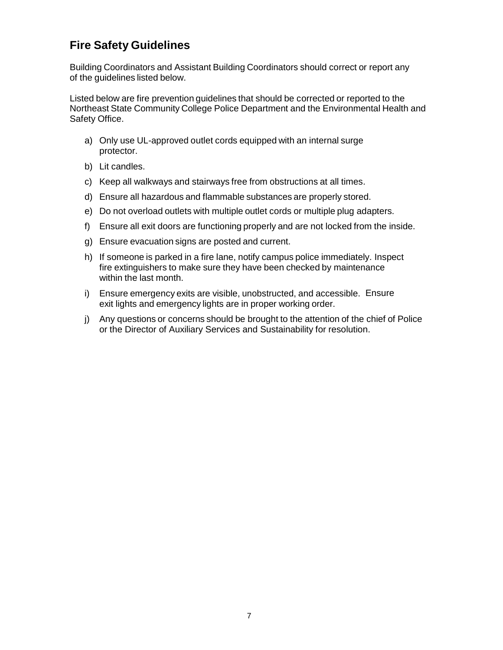## **Fire Safety Guidelines**

Building Coordinators and Assistant Building Coordinators should correct or report any of the guidelines listed below.

Listed below are fire prevention guidelines that should be corrected or reported to the Northeast State Community College Police Department and the Environmental Health and Safety Office.

- a) Only use UL-approved outlet cords equipped with an internal surge protector.
- b) Lit candles.
- c) Keep all walkways and stairways free from obstructions at all times.
- d) Ensure all hazardous and flammable substances are properly stored.
- e) Do not overload outlets with multiple outlet cords or multiple plug adapters.
- f) Ensure all exit doors are functioning properly and are not locked from the inside.
- g) Ensure evacuation signs are posted and current.
- h) If someone is parked in a fire lane, notify campus police immediately. Inspect fire extinguishers to make sure they have been checked by maintenance within the last month.
- i) Ensure emergency exits are visible, unobstructed, and accessible. Ensure exit lights and emergency lights are in proper working order.
- j) Any questions or concerns should be brought to the attention of the chief of Police or the Director of Auxiliary Services and Sustainability for resolution.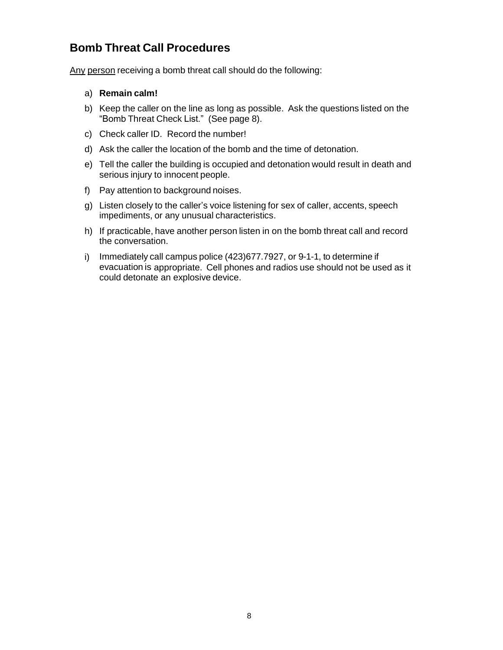## **Bomb Threat Call Procedures**

Any person receiving a bomb threat call should do the following:

#### a) **Remain calm!**

- b) Keep the caller on the line as long as possible. Ask the questions listed on the "Bomb Threat Check List." (See page 8).
- c) Check caller ID. Record the number!
- d) Ask the caller the location of the bomb and the time of detonation.
- e) Tell the caller the building is occupied and detonation would result in death and serious injury to innocent people.
- f) Pay attention to background noises.
- g) Listen closely to the caller's voice listening for sex of caller, accents, speech impediments, or any unusual characteristics.
- h) If practicable, have another person listen in on the bomb threat call and record the conversation.
- i) Immediately call campus police (423)677.7927, or 9-1-1, to determine if evacuation is appropriate. Cell phones and radios use should not be used as it could detonate an explosive device.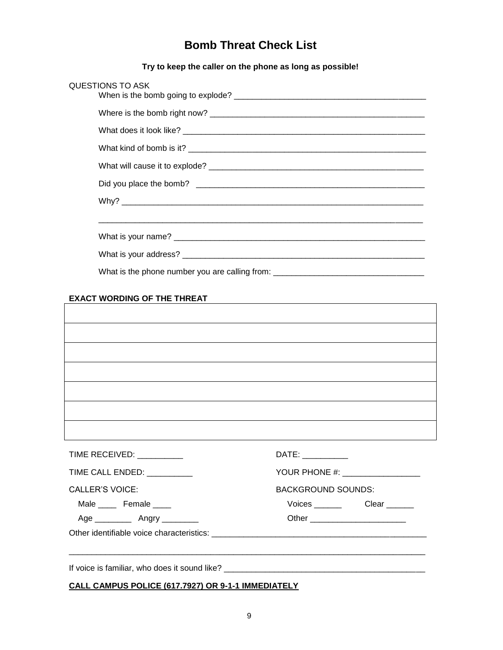### **Bomb Threat Check List**

**Try to keep the caller on the phone as long as possible!**

| QUESTIONS TO ASK                                                                 |  |
|----------------------------------------------------------------------------------|--|
|                                                                                  |  |
|                                                                                  |  |
|                                                                                  |  |
|                                                                                  |  |
|                                                                                  |  |
|                                                                                  |  |
|                                                                                  |  |
|                                                                                  |  |
|                                                                                  |  |
| What is the phone number you are calling from: _________________________________ |  |

# **EXACT WORDING OF THE THREAT**

| TIME RECEIVED: __________    | DATE:                            |
|------------------------------|----------------------------------|
| TIME CALL ENDED: ___________ | YOUR PHONE #: __________________ |
| <b>CALLER'S VOICE:</b>       | <b>BACKGROUND SOUNDS:</b>        |
| Male ______ Female _____     |                                  |
|                              | Other _________________________  |
|                              |                                  |

**CALL CAMPUS POLICE (617.7927) OR 9-1-1 IMMEDIATELY**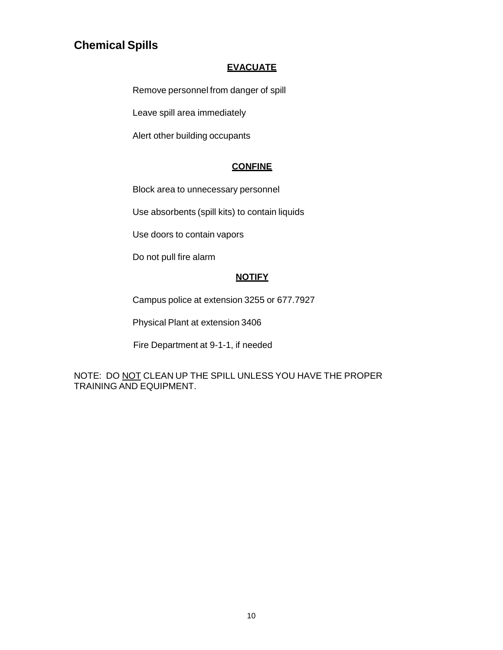## **Chemical Spills**

#### **EVACUATE**

Remove personnel from danger of spill

Leave spill area immediately

Alert other building occupants

#### **CONFINE**

Block area to unnecessary personnel

Use absorbents (spill kits) to contain liquids

Use doors to contain vapors

Do not pull fire alarm

### **NOTIFY**

Campus police at extension 3255 or 677.7927

Physical Plant at extension 3406

Fire Department at 9-1-1, if needed

NOTE: DO NOT CLEAN UP THE SPILL UNLESS YOU HAVE THE PROPER TRAINING AND EQUIPMENT.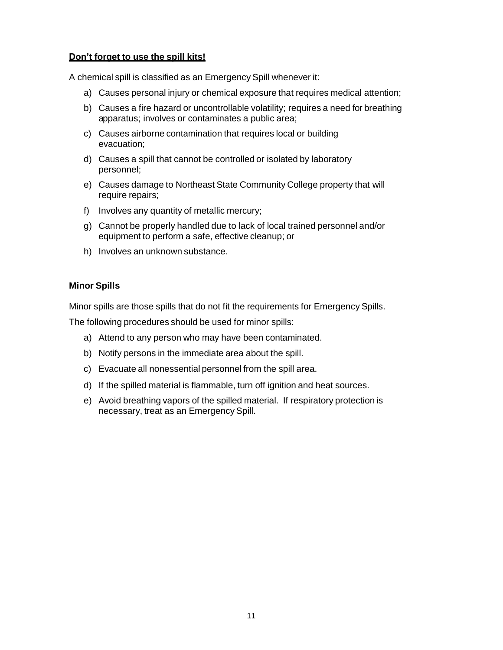#### **Don't forget to use the spill kits!**

A chemical spill is classified as an Emergency Spill whenever it:

- a) Causes personal injury or chemical exposure that requires medical attention;
- b) Causes a fire hazard or uncontrollable volatility; requires a need for breathing apparatus; involves or contaminates a public area;
- c) Causes airborne contamination that requires local or building evacuation;
- d) Causes a spill that cannot be controlled or isolated by laboratory personnel;
- e) Causes damage to Northeast State Community College property that will require repairs;
- f) Involves any quantity of metallic mercury;
- g) Cannot be properly handled due to lack of local trained personnel and/or equipment to perform a safe, effective cleanup; or
- h) Involves an unknown substance.

#### **Minor Spills**

Minor spills are those spills that do not fit the requirements for Emergency Spills.

The following procedures should be used for minor spills:

- a) Attend to any person who may have been contaminated.
- b) Notify persons in the immediate area about the spill.
- c) Evacuate all nonessential personnel from the spill area.
- d) If the spilled material is flammable, turn off ignition and heat sources.
- e) Avoid breathing vapors of the spilled material. If respiratory protection is necessary, treat as an Emergency Spill.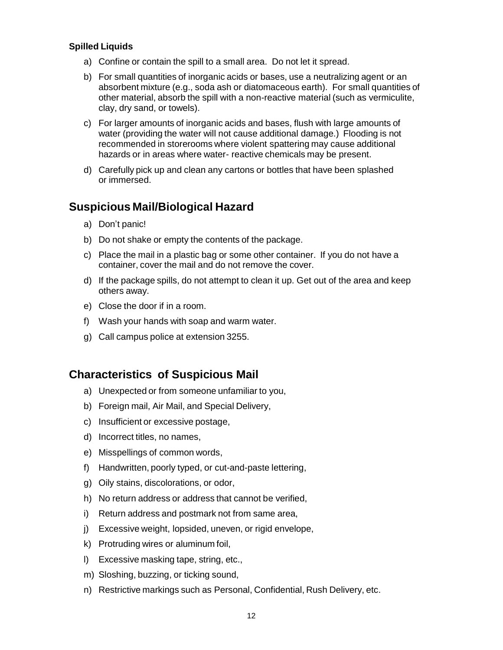#### **Spilled Liquids**

- a) Confine or contain the spill to a small area. Do not let it spread.
- b) For small quantities of inorganic acids or bases, use a neutralizing agent or an absorbent mixture (e.g., soda ash or diatomaceous earth). For small quantities of other material, absorb the spill with a non-reactive material (such as vermiculite, clay, dry sand, or towels).
- c) For larger amounts of inorganic acids and bases, flush with large amounts of water (providing the water will not cause additional damage.) Flooding is not recommended in storerooms where violent spattering may cause additional hazards or in areas where water- reactive chemicals may be present.
- d) Carefully pick up and clean any cartons or bottles that have been splashed or immersed.

### **Suspicious Mail/Biological Hazard**

- a) Don't panic!
- b) Do not shake or empty the contents of the package.
- c) Place the mail in a plastic bag or some other container. If you do not have a container, cover the mail and do not remove the cover.
- d) If the package spills, do not attempt to clean it up. Get out of the area and keep others away.
- e) Close the door if in a room.
- f) Wash your hands with soap and warm water.
- g) Call campus police at extension 3255.

### **Characteristics of Suspicious Mail**

- a) Unexpected or from someone unfamiliar to you,
- b) Foreign mail, Air Mail, and Special Delivery,
- c) Insufficient or excessive postage,
- d) Incorrect titles, no names,
- e) Misspellings of common words,
- f) Handwritten, poorly typed, or cut-and-paste lettering,
- g) Oily stains, discolorations, or odor,
- h) No return address or address that cannot be verified,
- i) Return address and postmark not from same area,
- j) Excessive weight, lopsided, uneven, or rigid envelope,
- k) Protruding wires or aluminum foil,
- l) Excessive masking tape, string, etc.,
- m) Sloshing, buzzing, or ticking sound,
- n) Restrictive markings such as Personal, Confidential, Rush Delivery, etc.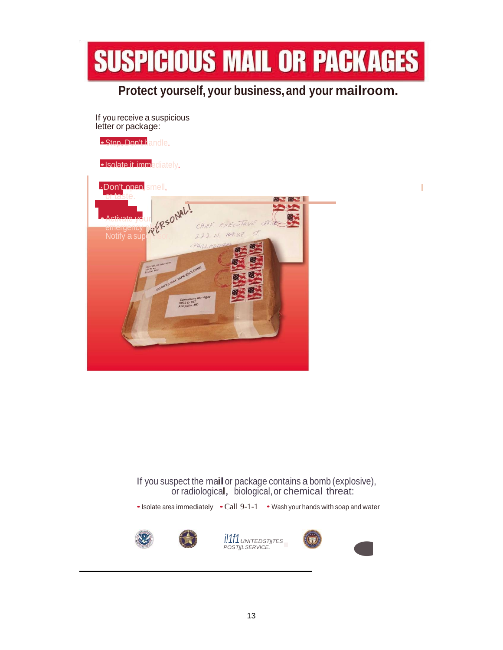

## **Protect yourself, your business,and your mailroom.**

If you receive a suspicious letter or package:

• Stop. Don't handle.

•Isolate it immediately.



If you suspect the mailor package contains <sup>a</sup> bomb (explosive), or radiological, biological,or chemical threat:

• Isolate area immediately • Call 9-1-1 • Wash your hands with soap and water







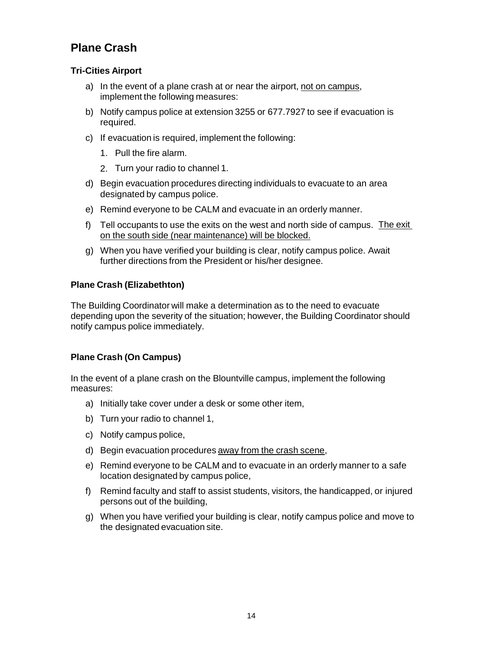## **Plane Crash**

#### **Tri-Cities Airport**

- a) In the event of a plane crash at or near the airport, not on campus, implement the following measures:
- b) Notify campus police at extension 3255 or 677.7927 to see if evacuation is required.
- c) If evacuation is required, implement the following:
	- 1. Pull the fire alarm.
	- 2. Turn your radio to channel 1.
- d) Begin evacuation procedures directing individuals to evacuate to an area designated by campus police.
- e) Remind everyone to be CALM and evacuate in an orderly manner.
- f) Tell occupants to use the exits on the west and north side of campus. The exit on the south side (near maintenance) will be blocked.
- g) When you have verified your building is clear, notify campus police. Await further directions from the President or his/her designee.

#### **Plane Crash (Elizabethton)**

The Building Coordinator will make a determination as to the need to evacuate depending upon the severity of the situation; however, the Building Coordinator should notify campus police immediately.

#### **Plane Crash (On Campus)**

In the event of a plane crash on the Blountville campus, implement the following measures:

- a) Initially take cover under a desk or some other item,
- b) Turn your radio to channel 1,
- c) Notify campus police,
- d) Begin evacuation procedures away from the crash scene,
- e) Remind everyone to be CALM and to evacuate in an orderly manner to a safe location designated by campus police,
- f) Remind faculty and staff to assist students, visitors, the handicapped, or injured persons out of the building,
- g) When you have verified your building is clear, notify campus police and move to the designated evacuation site.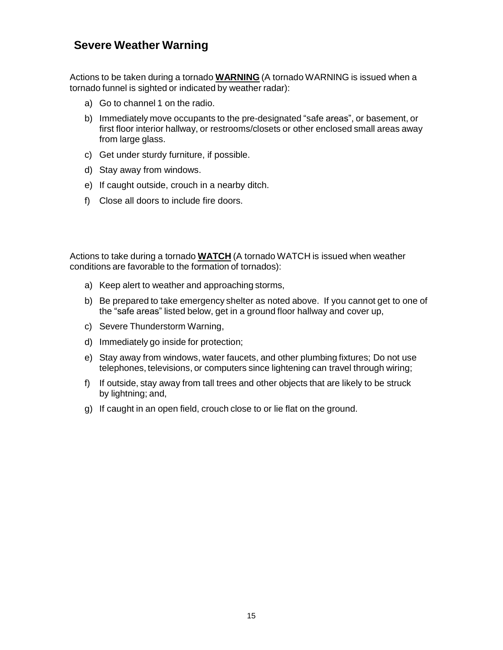### **Severe Weather Warning**

Actions to be taken during a tornado **WARNING** (A tornado WARNING is issued when a tornado funnel is sighted or indicated by weather radar):

- a) Go to channel 1 on the radio.
- b) Immediately move occupants to the pre-designated "safe areas", or basement, or first floor interior hallway, or restrooms/closets or other enclosed small areas away from large glass.
- c) Get under sturdy furniture, if possible.
- d) Stay away from windows.
- e) If caught outside, crouch in a nearby ditch.
- f) Close all doors to include fire doors.

Actions to take during a tornado **WATCH** (A tornado WATCH is issued when weather conditions are favorable to the formation of tornados):

- a) Keep alert to weather and approaching storms,
- b) Be prepared to take emergency shelter as noted above. If you cannot get to one of the "safe areas" listed below, get in a ground floor hallway and cover up,
- c) Severe Thunderstorm Warning,
- d) Immediately go inside for protection;
- e) Stay away from windows, water faucets, and other plumbing fixtures; Do not use telephones, televisions, or computers since lightening can travel through wiring;
- f) If outside, stay away from tall trees and other objects that are likely to be struck by lightning; and,
- g) If caught in an open field, crouch close to or lie flat on the ground.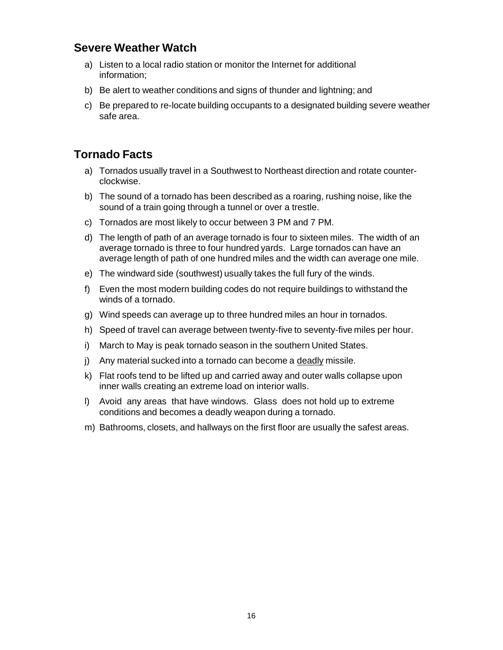### **Severe Weather Watch**

- a) Listen to a local radio station or monitor the Internet for additional information;
- b) Be alert to weather conditions and signs of thunder and lightning; and
- c) Be prepared to re-locate building occupants to a designated building severe weather safe area.

## **Tornado Facts**

- a) Tornados usually travel in a Southwest to Northeast direction and rotate counterclockwise.
- b) The sound of a tornado has been described as a roaring, rushing noise, like the sound of a train going through a tunnel or over a trestle.
- c) Tornados are most likely to occur between 3 PM and 7 PM.
- d) The length of path of an average tornado is four to sixteen miles. The width of an average tornado is three to four hundred yards. Large tornados can have an average length of path of one hundred miles and the width can average one mile.
- e) The windward side (southwest) usually takes the full fury of the winds.
- f) Even the most modern building codes do not require buildings to withstand the winds of a tornado.
- g) Wind speeds can average up to three hundred miles an hour in tornados.
- h) Speed of travel can average between twenty-five to seventy-five miles per hour.
- i) March to May is peak tornado season in the southern United States.
- j) Any material sucked into a tornado can become a deadly missile.
- k) Flat roofs tend to be lifted up and carried away and outer walls collapse upon inner walls creating an extreme load on interior walls.
- l) Avoid any areas that have windows. Glass does not hold up to extreme conditions and becomes a deadly weapon during a tornado.
- m) Bathrooms, closets, and hallways on the first floor are usually the safest areas.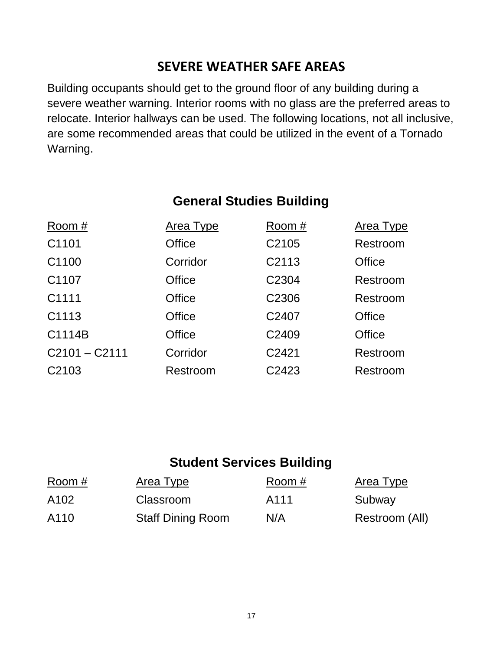# **SEVERE WEATHER SAFE AREAS**

Building occupants should get to the ground floor of any building during a severe weather warning. Interior rooms with no glass are the preferred areas to relocate. Interior hallways can be used. The following locations, not all inclusive, are some recommended areas that could be utilized in the event of a Tornado Warning.

# **General Studies Building**

| Room#             | <b>Area Type</b> | Room #            | <b>Area Type</b> |
|-------------------|------------------|-------------------|------------------|
| C1101             | <b>Office</b>    | C2105             | Restroom         |
| C1100             | Corridor         | C <sub>2113</sub> | <b>Office</b>    |
| C1107             | <b>Office</b>    | C <sub>2304</sub> | Restroom         |
| C <sub>1111</sub> | <b>Office</b>    | C2306             | Restroom         |
| C1113             | <b>Office</b>    | C2407             | <b>Office</b>    |
| C1114B            | <b>Office</b>    | C2409             | <b>Office</b>    |
| $C2101 - C2111$   | Corridor         | C2421             | Restroom         |
| C <sub>2103</sub> | Restroom         | C2423             | Restroom         |

# **Student Services Building**

| Room # | Area Type                | Room # | Area Type      |
|--------|--------------------------|--------|----------------|
| A102   | Classroom                | A111   | Subway         |
| A110   | <b>Staff Dining Room</b> | N/A    | Restroom (All) |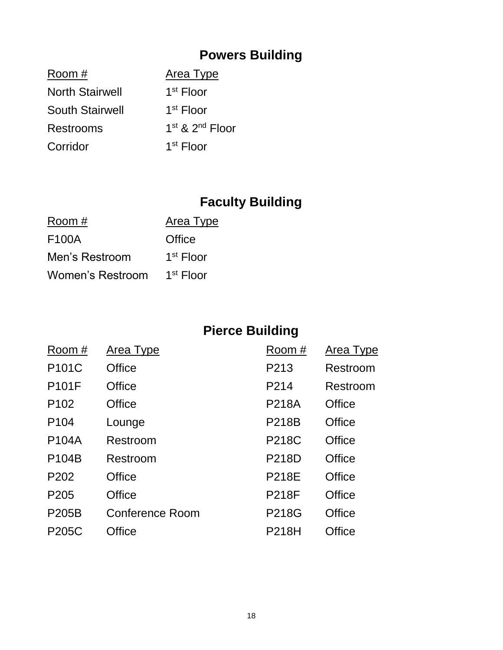# **Powers Building**

| Area Type                               |
|-----------------------------------------|
| 1 <sup>st</sup> Floor                   |
| 1 <sup>st</sup> Floor                   |
| 1 <sup>st</sup> & 2 <sup>nd</sup> Floor |
| $1st$ Floor                             |
|                                         |

# **Faculty Building**

| Room #             | Area Type   |
|--------------------|-------------|
| F <sub>100</sub> A | Office      |
| Men's Restroom     | $1st$ Floor |
| Women's Restroom   | $1st$ Floor |

# **Pierce Building**

| Room#            | <b>Area Type</b> | Room #       | <b>Area Type</b> |
|------------------|------------------|--------------|------------------|
| P101C            | Office           | P213         | Restroom         |
| <b>P101F</b>     | Office           | P214         | Restroom         |
| P <sub>102</sub> | Office           | <b>P218A</b> | <b>Office</b>    |
| P <sub>104</sub> | Lounge           | <b>P218B</b> | <b>Office</b>    |
| <b>P104A</b>     | Restroom         | <b>P218C</b> | <b>Office</b>    |
| P104B            | Restroom         | <b>P218D</b> | <b>Office</b>    |
| P <sub>202</sub> | Office           | <b>P218E</b> | <b>Office</b>    |
| P <sub>205</sub> | Office           | <b>P218F</b> | <b>Office</b>    |
| <b>P205B</b>     | Conference Room  | P218G        | <b>Office</b>    |
| <b>P205C</b>     | Office           | <b>P218H</b> | Office           |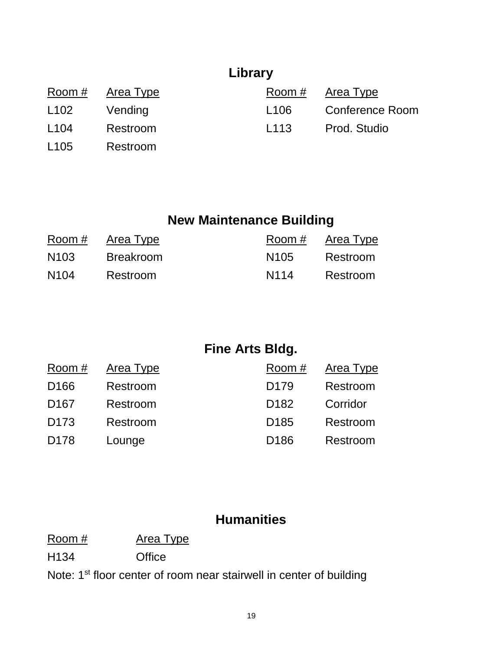# **Library**

|                  | Room # Area Type |                  | Room $#$ Area Type     |
|------------------|------------------|------------------|------------------------|
| L <sub>102</sub> | Vending          | L <sub>106</sub> | <b>Conference Room</b> |
| L <sub>104</sub> | Restroom         | L <sub>113</sub> | Prod. Studio           |
| L <sub>105</sub> | Restroom         |                  |                        |

# **New Maintenance Building**

| Room #           | Area Type        | Room #           | Area Type |
|------------------|------------------|------------------|-----------|
| N <sub>103</sub> | <b>Breakroom</b> | N <sub>105</sub> | Restroom  |
| N <sub>104</sub> | Restroom         | N114             | Restroom  |

# **Fine Arts Bldg.**

| Room #           | <b>Area Type</b> | Room #           | Area Type |
|------------------|------------------|------------------|-----------|
| D <sub>166</sub> | Restroom         | D <sub>179</sub> | Restroom  |
| D <sub>167</sub> | Restroom         | D <sub>182</sub> | Corridor  |
| D <sub>173</sub> | Restroom         | D <sub>185</sub> | Restroom  |
| D <sub>178</sub> | Lounge           | D <sub>186</sub> | Restroom  |

## **Humanities**

Room # Area Type

H134 Office

Note: 1<sup>st</sup> floor center of room near stairwell in center of building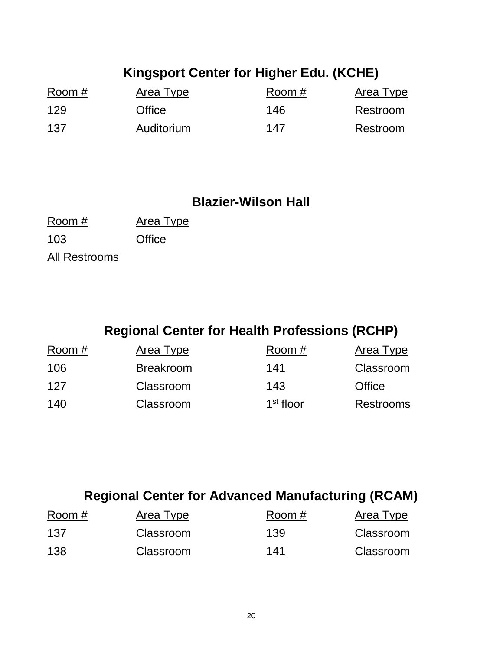# **Kingsport Center for Higher Edu. (KCHE)**

| Room # | Area Type  | Room # | Area Type |
|--------|------------|--------|-----------|
| 129    | Office     | 146    | Restroom  |
| 137    | Auditorium | 147    | Restroom  |

## **Blazier-Wilson Hall**

| Room #        | Area Type |
|---------------|-----------|
| 103           | Office    |
| All Restrooms |           |

# **Regional Center for Health Professions (RCHP)**

| Room # | Area Type        | Room #                | Area Type        |
|--------|------------------|-----------------------|------------------|
| 106    | <b>Breakroom</b> | 141                   | Classroom        |
| 127    | Classroom        | 143                   | Office           |
| 140    | Classroom        | 1 <sup>st</sup> floor | <b>Restrooms</b> |

# **Regional Center for Advanced Manufacturing (RCAM)**

| Room # | Area Type | Room # | Area Type |
|--------|-----------|--------|-----------|
| 137    | Classroom | 139    | Classroom |
| 138    | Classroom | 141    | Classroom |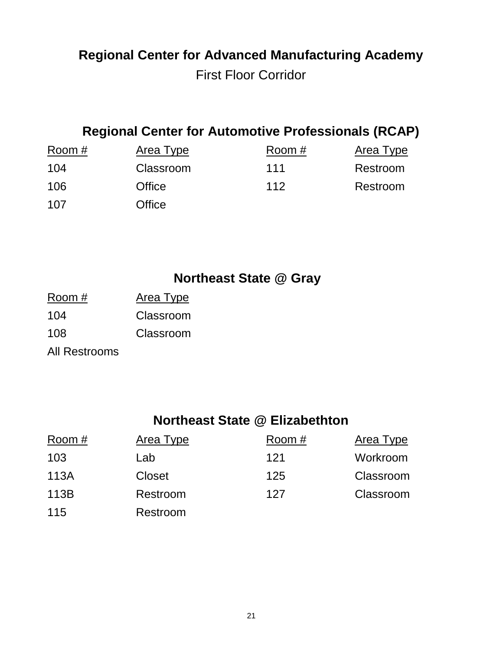# **Regional Center for Advanced Manufacturing Academy** First Floor Corridor

# **Regional Center for Automotive Professionals (RCAP)**

| Room # | Area Type | Room # | Area Type |
|--------|-----------|--------|-----------|
| 104    | Classroom | 111    | Restroom  |
| 106    | Office    | 112    | Restroom  |
| 107    | Office    |        |           |

# **Northeast State @ Gray**

Room # Area Type 104 Classroom 108 Classroom All Restrooms

# **Northeast State @ Elizabethton**

| Room# | Area Type     | Room # | Area Type |
|-------|---------------|--------|-----------|
| 103   | Lab           | 121    | Workroom  |
| 113A  | <b>Closet</b> | 125    | Classroom |
| 113B  | Restroom      | 127    | Classroom |
| 115   | Restroom      |        |           |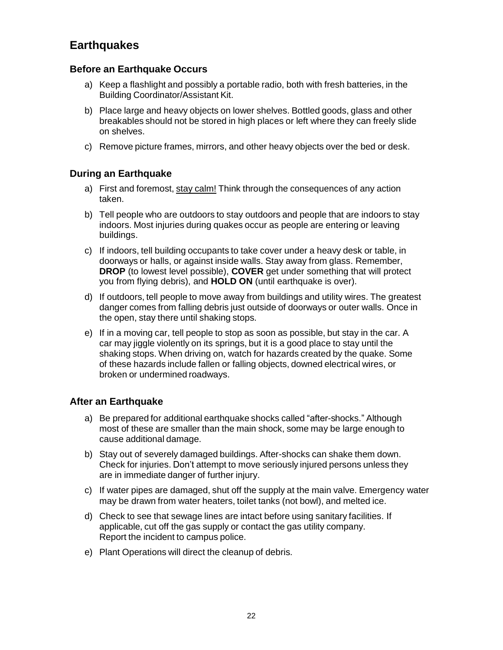## **Earthquakes**

#### **Before an Earthquake Occurs**

- a) Keep a flashlight and possibly a portable radio, both with fresh batteries, in the Building Coordinator/Assistant Kit.
- b) Place large and heavy objects on lower shelves. Bottled goods, glass and other breakables should not be stored in high places or left where they can freely slide on shelves.
- c) Remove picture frames, mirrors, and other heavy objects over the bed or desk.

#### **During an Earthquake**

- a) First and foremost, stay calm! Think through the consequences of any action taken.
- b) Tell people who are outdoors to stay outdoors and people that are indoors to stay indoors. Most injuries during quakes occur as people are entering or leaving buildings.
- c) If indoors, tell building occupants to take cover under a heavy desk or table, in doorways or halls, or against inside walls. Stay away from glass. Remember, **DROP** (to lowest level possible), **COVER** get under something that will protect you from flying debris), and **HOLD ON** (until earthquake is over).
- d) If outdoors, tell people to move away from buildings and utility wires. The greatest danger comes from falling debris just outside of doorways or outer walls. Once in the open, stay there until shaking stops.
- e) If in a moving car, tell people to stop as soon as possible, but stay in the car. A car may jiggle violently on its springs, but it is a good place to stay until the shaking stops. When driving on, watch for hazards created by the quake. Some of these hazards include fallen or falling objects, downed electrical wires, or broken or undermined roadways.

#### **After an Earthquake**

- a) Be prepared for additional earthquake shocks called "after-shocks." Although most of these are smaller than the main shock, some may be large enough to cause additional damage.
- b) Stay out of severely damaged buildings. After-shocks can shake them down. Check for injuries. Don't attempt to move seriously injured persons unless they are in immediate danger of further injury.
- c) If water pipes are damaged, shut off the supply at the main valve. Emergency water may be drawn from water heaters, toilet tanks (not bowl), and melted ice.
- d) Check to see that sewage lines are intact before using sanitary facilities. If applicable, cut off the gas supply or contact the gas utility company. Report the incident to campus police.
- e) Plant Operations will direct the cleanup of debris.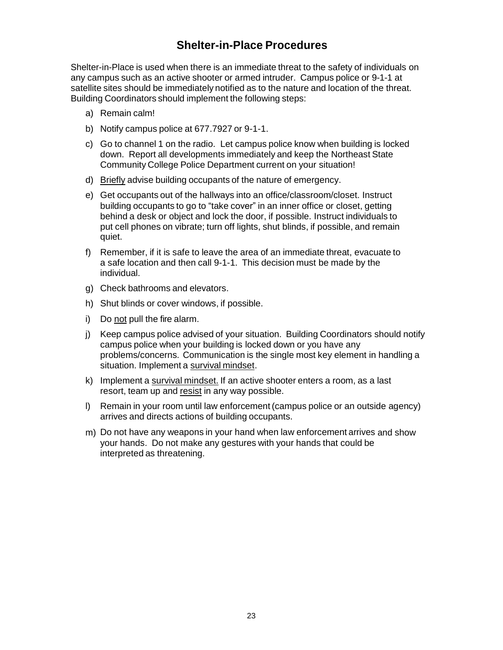### **Shelter-in-Place Procedures**

Shelter-in-Place is used when there is an immediate threat to the safety of individuals on any campus such as an active shooter or armed intruder. Campus police or 9-1-1 at satellite sites should be immediately notified as to the nature and location of the threat. Building Coordinators should implement the following steps:

- a) Remain calm!
- b) Notify campus police at 677.7927 or 9-1-1.
- c) Go to channel 1 on the radio. Let campus police know when building is locked down. Report all developments immediately and keep the Northeast State Community College Police Department current on your situation!
- d) Briefly advise building occupants of the nature of emergency.
- e) Get occupants out of the hallways into an office/classroom/closet. Instruct building occupants to go to "take cover" in an inner office or closet, getting behind a desk or object and lock the door, if possible. Instruct individuals to put cell phones on vibrate; turn off lights, shut blinds, if possible, and remain quiet.
- f) Remember, if it is safe to leave the area of an immediate threat, evacuate to a safe location and then call 9-1-1. This decision must be made by the individual.
- g) Check bathrooms and elevators.
- h) Shut blinds or cover windows, if possible.
- i) Do not pull the fire alarm.
- j) Keep campus police advised of your situation. Building Coordinators should notify campus police when your building is locked down or you have any problems/concerns. Communication is the single most key element in handling a situation. Implement a survival mindset.
- k) Implement a survival mindset. If an active shooter enters a room, as a last resort, team up and resist in any way possible.
- l) Remain in your room until law enforcement (campus police or an outside agency) arrives and directs actions of building occupants.
- m) Do not have any weapons in your hand when law enforcement arrives and show your hands. Do not make any gestures with your hands that could be interpreted as threatening.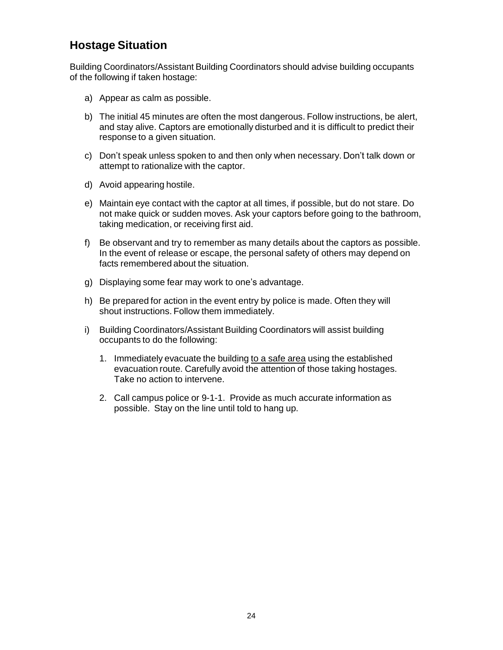## **Hostage Situation**

Building Coordinators/Assistant Building Coordinators should advise building occupants of the following if taken hostage:

- a) Appear as calm as possible.
- b) The initial 45 minutes are often the most dangerous. Follow instructions, be alert, and stay alive. Captors are emotionally disturbed and it is difficult to predict their response to a given situation.
- c) Don't speak unless spoken to and then only when necessary. Don't talk down or attempt to rationalize with the captor.
- d) Avoid appearing hostile.
- e) Maintain eye contact with the captor at all times, if possible, but do not stare. Do not make quick or sudden moves. Ask your captors before going to the bathroom, taking medication, or receiving first aid.
- f) Be observant and try to remember as many details about the captors as possible. In the event of release or escape, the personal safety of others may depend on facts remembered about the situation.
- g) Displaying some fear may work to one's advantage.
- h) Be prepared for action in the event entry by police is made. Often they will shout instructions. Follow them immediately.
- i) Building Coordinators/Assistant Building Coordinators will assist building occupants to do the following:
	- 1. Immediately evacuate the building to a safe area using the established evacuation route. Carefully avoid the attention of those taking hostages. Take no action to intervene.
	- 2. Call campus police or 9-1-1. Provide as much accurate information as possible. Stay on the line until told to hang up.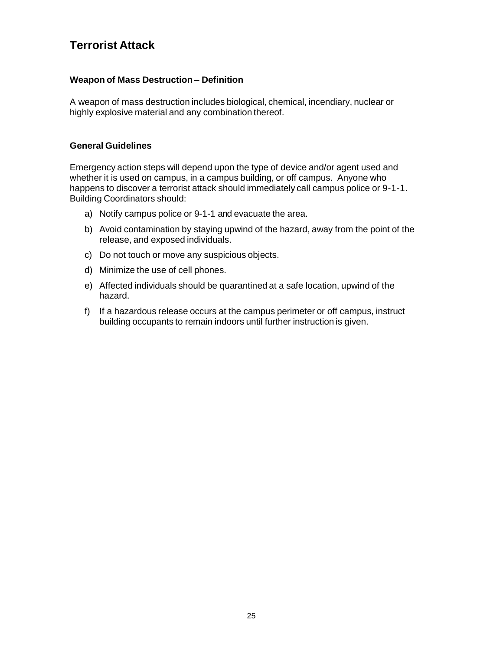## **Terrorist Attack**

#### **Weapon of Mass Destruction – Definition**

A weapon of mass destruction includes biological, chemical, incendiary, nuclear or highly explosive material and any combination thereof.

#### **General Guidelines**

Emergency action steps will depend upon the type of device and/or agent used and whether it is used on campus, in a campus building, or off campus. Anyone who happens to discover a terrorist attack should immediately call campus police or 9-1-1. Building Coordinators should:

- a) Notify campus police or 9-1-1 and evacuate the area.
- b) Avoid contamination by staying upwind of the hazard, away from the point of the release, and exposed individuals.
- c) Do not touch or move any suspicious objects.
- d) Minimize the use of cell phones.
- e) Affected individuals should be quarantined at a safe location, upwind of the hazard.
- f) If a hazardous release occurs at the campus perimeter or off campus, instruct building occupants to remain indoors until further instruction is given.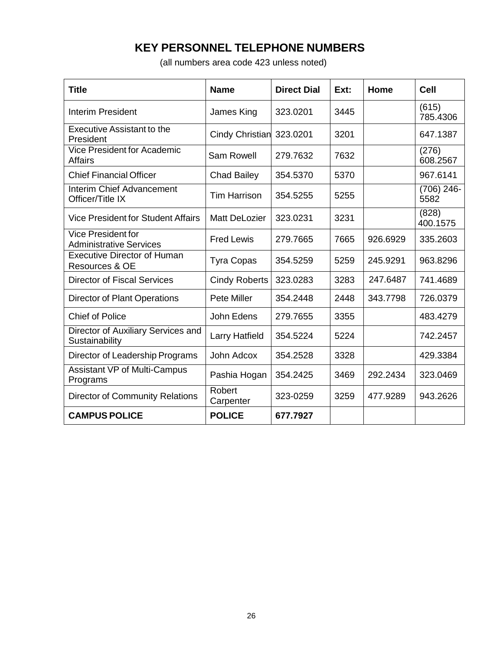## **KEY PERSONNEL TELEPHONE NUMBERS**

(all numbers area code 423 unless noted)

| Title                                                       | <b>Name</b>            | <b>Direct Dial</b> | Ext: | Home     | Cell                 |
|-------------------------------------------------------------|------------------------|--------------------|------|----------|----------------------|
| Interim President                                           | James King             | 323.0201           | 3445 |          | (615)<br>785.4306    |
| <b>Executive Assistant to the</b><br>President              | <b>Cindy Christian</b> | 323.0201           | 3201 |          | 647.1387             |
| <b>Vice President for Academic</b><br><b>Affairs</b>        | <b>Sam Rowell</b>      | 279.7632           | 7632 |          | (276)<br>608.2567    |
| <b>Chief Financial Officer</b>                              | <b>Chad Bailey</b>     | 354.5370           | 5370 |          | 967.6141             |
| Interim Chief Advancement<br>Officer/Title IX               | <b>Tim Harrison</b>    | 354.5255           | 5255 |          | $(706)$ 246-<br>5582 |
| <b>Vice President for Student Affairs</b>                   | <b>Matt DeLozier</b>   | 323.0231           | 3231 |          | (828)<br>400.1575    |
| <b>Vice President for</b><br><b>Administrative Services</b> | <b>Fred Lewis</b>      | 279.7665           | 7665 | 926.6929 | 335.2603             |
| <b>Executive Director of Human</b><br>Resources & OE        | <b>Tyra Copas</b>      | 354.5259           | 5259 | 245.9291 | 963.8296             |
| <b>Director of Fiscal Services</b>                          | <b>Cindy Roberts</b>   | 323.0283           | 3283 | 247.6487 | 741.4689             |
| <b>Director of Plant Operations</b>                         | <b>Pete Miller</b>     | 354.2448           | 2448 | 343.7798 | 726.0379             |
| <b>Chief of Police</b>                                      | John Edens             | 279.7655           | 3355 |          | 483.4279             |
| Director of Auxiliary Services and<br>Sustainability        | Larry Hatfield         | 354.5224           | 5224 |          | 742.2457             |
| Director of Leadership Programs                             | John Adcox             | 354.2528           | 3328 |          | 429.3384             |
| <b>Assistant VP of Multi-Campus</b><br>Programs             | Pashia Hogan           | 354.2425           | 3469 | 292.2434 | 323.0469             |
| <b>Director of Community Relations</b>                      | Robert<br>Carpenter    | 323-0259           | 3259 | 477.9289 | 943.2626             |
| <b>CAMPUS POLICE</b>                                        | <b>POLICE</b>          | 677.7927           |      |          |                      |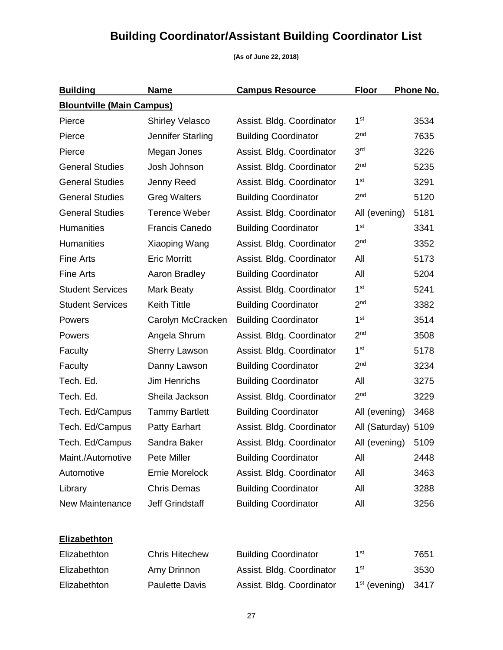# **Building Coordinator/Assistant Building Coordinator List**

#### **(As of June 22, 2018)**

| <b>Building</b>                  | <b>Name</b>            | <b>Campus Resource</b>      | <b>Floor</b>    | Phone No. |
|----------------------------------|------------------------|-----------------------------|-----------------|-----------|
| <b>Blountville (Main Campus)</b> |                        |                             |                 |           |
| Pierce                           | <b>Shirley Velasco</b> | Assist. Bldg. Coordinator   | 1 <sup>st</sup> | 3534      |
| Pierce                           | Jennifer Starling      | <b>Building Coordinator</b> | 2 <sub>nd</sub> | 7635      |
| Pierce                           | Megan Jones            | Assist. Bldg. Coordinator   | 3 <sup>rd</sup> | 3226      |
| <b>General Studies</b>           | Josh Johnson           | Assist. Bldg. Coordinator   | 2 <sub>nd</sub> | 5235      |
| <b>General Studies</b>           | Jenny Reed             | Assist. Bldg. Coordinator   | 1 <sup>st</sup> | 3291      |
| <b>General Studies</b>           | <b>Greg Walters</b>    | <b>Building Coordinator</b> | 2 <sub>nd</sub> | 5120      |
| <b>General Studies</b>           | <b>Terence Weber</b>   | Assist. Bldg. Coordinator   | All (evening)   | 5181      |
| <b>Humanities</b>                | <b>Francis Canedo</b>  | <b>Building Coordinator</b> | 1 <sup>st</sup> | 3341      |
| <b>Humanities</b>                | Xiaoping Wang          | Assist. Bldg. Coordinator   | 2 <sub>nd</sub> | 3352      |
| <b>Fine Arts</b>                 | <b>Eric Morritt</b>    | Assist. Bldg. Coordinator   | All             | 5173      |
| <b>Fine Arts</b>                 | Aaron Bradley          | <b>Building Coordinator</b> | All             | 5204      |
| <b>Student Services</b>          | Mark Beaty             | Assist. Bldg. Coordinator   | 1 <sup>st</sup> | 5241      |
| <b>Student Services</b>          | <b>Keith Tittle</b>    | <b>Building Coordinator</b> | 2 <sub>nd</sub> | 3382      |
| Powers                           | Carolyn McCracken      | <b>Building Coordinator</b> | 1 <sup>st</sup> | 3514      |
| Powers                           | Angela Shrum           | Assist. Bldg. Coordinator   | 2 <sub>nd</sub> | 3508      |
| Faculty                          | <b>Sherry Lawson</b>   | Assist. Bldg. Coordinator   | 1 <sup>st</sup> | 5178      |
| Faculty                          | Danny Lawson           | <b>Building Coordinator</b> | 2 <sub>nd</sub> | 3234      |
| Tech. Ed.                        | Jim Henrichs           | <b>Building Coordinator</b> | All             | 3275      |
| Tech. Ed.                        | Sheila Jackson         | Assist. Bldg. Coordinator   | 2 <sub>nd</sub> | 3229      |
| Tech. Ed/Campus                  | <b>Tammy Bartlett</b>  | <b>Building Coordinator</b> | All (evening)   | 3468      |
| Tech. Ed/Campus                  | <b>Patty Earhart</b>   | Assist. Bldg. Coordinator   | All (Saturday)  | 5109      |
| Tech. Ed/Campus                  | Sandra Baker           | Assist. Bldg. Coordinator   | All (evening)   | 5109      |
| Maint./Automotive                | Pete Miller            | <b>Building Coordinator</b> | All             | 2448      |
| Automotive                       | Ernie Morelock         | Assist. Bldg. Coordinator   | All             | 3463      |
| Library                          | <b>Chris Demas</b>     | <b>Building Coordinator</b> | All             | 3288      |
| <b>New Maintenance</b>           | <b>Jeff Grindstaff</b> | <b>Building Coordinator</b> | All             | 3256      |

## **Elizabethton**

| Elizabethton | <b>Chris Hitechew</b> | <b>Building Coordinator</b> | 1st                       | 7651  |
|--------------|-----------------------|-----------------------------|---------------------------|-------|
| Elizabethton | Amy Drinnon           | Assist. Bldg. Coordinator   | 1st                       | 3530  |
| Elizabethton | <b>Paulette Davis</b> | Assist. Bldg. Coordinator   | 1 <sup>st</sup> (evening) | -3417 |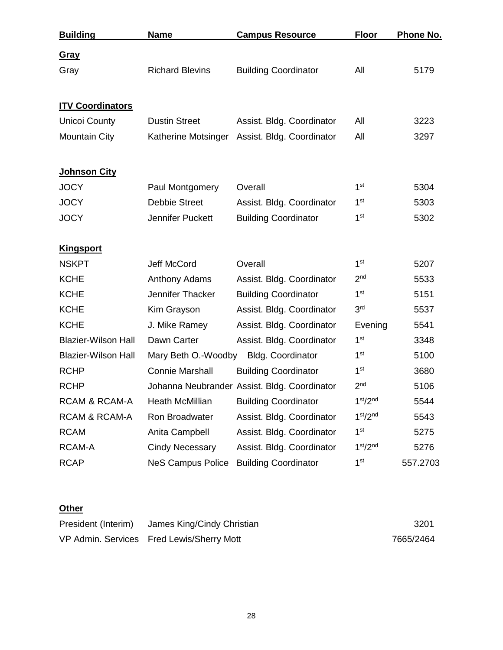| <b>Building</b>            | <b>Name</b>              | <b>Campus Resource</b>                       | <b>Floor</b>                     | <b>Phone No.</b> |
|----------------------------|--------------------------|----------------------------------------------|----------------------------------|------------------|
| <b>Gray</b>                |                          |                                              |                                  |                  |
| Gray                       | <b>Richard Blevins</b>   | <b>Building Coordinator</b>                  | All                              | 5179             |
| <b>ITV Coordinators</b>    |                          |                                              |                                  |                  |
| <b>Unicoi County</b>       | <b>Dustin Street</b>     | Assist. Bldg. Coordinator                    | All                              | 3223             |
| <b>Mountain City</b>       | Katherine Motsinger      | Assist. Bldg. Coordinator                    | All                              | 3297             |
| <b>Johnson City</b>        |                          |                                              |                                  |                  |
| <b>JOCY</b>                | Paul Montgomery          | Overall                                      | 1 <sup>st</sup>                  | 5304             |
| <b>JOCY</b>                | <b>Debbie Street</b>     | Assist. Bldg. Coordinator                    | 1 <sup>st</sup>                  | 5303             |
| <b>JOCY</b>                | Jennifer Puckett         | <b>Building Coordinator</b>                  | 1 <sup>st</sup>                  | 5302             |
| <b>Kingsport</b>           |                          |                                              |                                  |                  |
| <b>NSKPT</b>               | Jeff McCord              | Overall                                      | 1 <sup>st</sup>                  | 5207             |
| <b>KCHE</b>                | <b>Anthony Adams</b>     | Assist. Bldg. Coordinator                    | 2 <sub>nd</sub>                  | 5533             |
| <b>KCHE</b>                | Jennifer Thacker         | <b>Building Coordinator</b>                  | 1 <sup>st</sup>                  | 5151             |
| <b>KCHE</b>                | Kim Grayson              | Assist. Bldg. Coordinator                    | 3 <sup>rd</sup>                  | 5537             |
| <b>KCHE</b>                | J. Mike Ramey            | Assist. Bldg. Coordinator                    | Evening                          | 5541             |
| <b>Blazier-Wilson Hall</b> | Dawn Carter              | Assist. Bldg. Coordinator                    | 1 <sup>st</sup>                  | 3348             |
| <b>Blazier-Wilson Hall</b> | Mary Beth O.-Woodby      | <b>Bldg. Coordinator</b>                     | 1 <sup>st</sup>                  | 5100             |
| <b>RCHP</b>                | <b>Connie Marshall</b>   | <b>Building Coordinator</b>                  | 1 <sup>st</sup>                  | 3680             |
| <b>RCHP</b>                |                          | Johanna Neubrander Assist. Bldg. Coordinator | 2 <sub>nd</sub>                  | 5106             |
| RCAM & RCAM-A              | <b>Heath McMillian</b>   | <b>Building Coordinator</b>                  | 1 <sup>st</sup> /2 <sup>nd</sup> | 5544             |
| <b>RCAM &amp; RCAM-A</b>   | Ron Broadwater           | Assist. Bldg. Coordinator                    | 1 <sup>st</sup> /2 <sup>nd</sup> | 5543             |
| <b>RCAM</b>                | Anita Campbell           | Assist. Bldg. Coordinator                    | 1 <sup>st</sup>                  | 5275             |
| RCAM-A                     | <b>Cindy Necessary</b>   | Assist. Bldg. Coordinator                    | 1 <sup>st</sup> /2 <sup>nd</sup> | 5276             |
| <b>RCAP</b>                | <b>NeS Campus Police</b> | <b>Building Coordinator</b>                  | 1 <sup>st</sup>                  | 557.2703         |

## **Other**

| President (Interim) James King/Cindy Christian | 3201      |
|------------------------------------------------|-----------|
| VP Admin. Services Fred Lewis/Sherry Mott      | 7665/2464 |